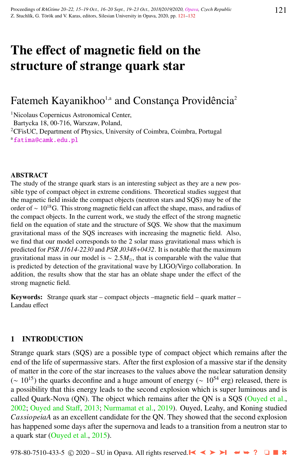# The effect of magnetic field on the structure of strange quark star

## Fatemeh Kayanikhoo<sup>1,a</sup> and Constança Providência<sup>2</sup>

<sup>1</sup>Nicolaus Copernicus Astronomical Center,

Bartycka 18, 00-716, Warszaw, Poland,

<sup>2</sup>CFisUC, Department of Physics, University of Coimbra, Coimbra, Portugal a[fatima@camk.edu.pl](http://www.physics.cz/ fatima@camk.edu.pl)

#### ABSTRACT

The study of the strange quark stars is an interesting subject as they are a new possible type of compact object in extreme conditions. Theoretical studies suggest that the magnetic field inside the compact objects (neutron stars and SQS) may be of the order of  $\sim 10^{18}$ G. This strong magnetic field can affect the shape, mass, and radius of the compact objects. In the current work, we study the effect of the strong magnetic field on the equation of state and the structure of SQS. We show that the maximum gravitational mass of the SQS increases with increasing the magnetic field. Also, we find that our model corresponds to the 2 solar mass gravitational mass which is predicted for *PSR J1614-2230* and *PSR J0348*+*0432*. It is notable that the maximum gravitational mass in our model is  $\sim 2.5 M_{\odot}$ , that is comparable with the value that is predicted by detection of the gravitational wave by LIGO/Virgo collaboration. In addition, the results show that the star has an oblate shape under the effect of the strong magnetic field.

Keywords: Strange quark star – compact objects –magnetic field – quark matter – Landau effect

#### 1 INTRODUCTION

Strange quark stars (SQS) are a possible type of compact object which remains after the end of the life of supermassive stars. After the first explosion of a massive star if the density of matter in the core of the star increases to the values above the nuclear saturation density  $({\sim 10^{15}})$  the quarks deconfine and a huge amount of energy ( ${\sim 10^{54}}$  erg) released, there is a possibility that this energy leads to the second explosion which is super luminous and is called Quark-Nova (QN). The object which remains after the QN is a SQS [\(Ouyed et al.,](#page-11-0) [2002;](#page-11-0) [Ouyed and Sta](#page-11-0)ff, [2013;](#page-11-0) [Nurmamat et al.,](#page-11-0) [2019\)](#page-11-0). Ouyed, Leahy, and Koning studied *CassiopeiaA* as an excellent candidate for the QN. They showed that the second explosion has happened some days after the supernova and leads to a transition from a neutron star to a quark star [\(Ouyed et al.,](#page-11-0) [2015\)](#page-11-0).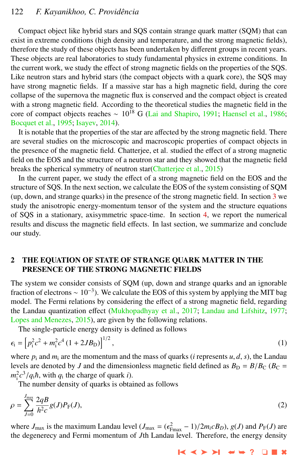## 122 *F. Kayanikhoo, C. Providˆencia*

Compact object like hybrid stars and SQS contain strange quark matter (SQM) that can exist in extreme conditions (high density and temperature, and the strong magnetic fields), therefore the study of these objects has been undertaken by different groups in recent years. These objects are real laboratories to study fundamental physics in extreme conditions. In the current work, we study the effect of strong magnetic fields on the properties of the SQS. Like neutron stars and hybrid stars (the compact objects with a quark core), the SQS may have strong magnetic fields. If a massive star has a high magnetic field, during the core collapse of the supernova the magnetic flux is conserved and the compact object is created with a strong magnetic field. According to the theoretical studies the magnetic field in the core of compact objects reaches ~ 10<sup>18</sup> G [\(Lai and Shapiro,](#page-11-0) [1991;](#page-11-0) [Haensel et al.,](#page-11-0) [1986;](#page-11-0) [Bocquet et al.,](#page-11-0) [1995;](#page-11-0) [Isayev,](#page-11-0) [2014\)](#page-11-0).

It is notable that the properties of the star are affected by the strong magnetic field. There are several studies on the microscopic and macroscopic properties of compact objects in the presence of the magnetic field. Chatterjee, et al. studied the effect of a strong magnetic field on the EOS and the structure of a neutron star and they showed that the magnetic field breaks the spherical symmetry of neutron star[\(Chatterjee et al.,](#page-11-0) [2015\)](#page-11-0)

In the current paper, we study the effect of a strong magnetic field on the EOS and the structure of SQS. In the next section, we calculate the EOS of the system consisting of SQM (up, down, and strange quarks) in the presence of the strong magnetic field. In section [3](#page-2-0) we study the anisotropic energy-momentum tensor of the system and the structure equations of SQS in a stationary, axisymmetric space-time. In section [4,](#page-5-0) we report the numerical results and discuss the magnetic field effects. In last section, we summarize and conclude our study.

## 2 THE EQUATION OF STATE OF STRANGE QUARK MATTER IN THE PRESENCE OF THE STRONG MAGNETIC FIELDS

The system we consider consists of SQM (up, down and strange quarks and an ignorable fraction of electrons  $\sim 10^{-3}$ ). We calculate the EOS of this system by applying the MIT bag model. The Fermi relations by considering the effect of a strong magnetic field, regarding the Landau quantization effect [\(Mukhopadhyay et al.,](#page-11-0) [2017;](#page-11-0) [Landau and Lifshitz,](#page-11-0) [1977;](#page-11-0) [Lopes and Menezes,](#page-11-0) [2015\)](#page-11-0), are given by the following relations.

The single-particle energy density is defined as follows

$$
\epsilon_{\rm i} = \left[ p_{\rm i}^2 c^2 + m_{\rm i}^2 c^4 (1 + 2JB_{\rm D}) \right]^{1/2},\tag{1}
$$

where  $p_i$  and  $m_i$  are the momentum and the mass of quarks (*i* represents  $u, d, s$ ), the Landau levels are denoted by *J* and the dimensionless magnetic field defined as  $B_D = B/B_C$  ( $B_C =$  $m_i^2 c^3 / q_i \hbar$ , with  $q_i$  the charge of quark *i*).<br>The number density of quarks is obtained

The number density of quarks is obtained as follows

$$
\rho = \sum_{J=0}^{J_{\text{max}}} \frac{2qB}{h^2 c} g(J) P_{\text{F}}(J),\tag{2}
$$

where  $J_{\text{max}}$  is the maximum Landau level  $(J_{\text{max}} = (\epsilon_{\text{Fmax}}^2 - 1)/2m_i cB_D)$ ,  $g(J)$  and  $P_F(J)$  are the energy and Fermi momentum of *I*th I andau level. Therefore, the energy density the degenerecy and Fermi momentum of *J*th Landau level. Therefore, the energy density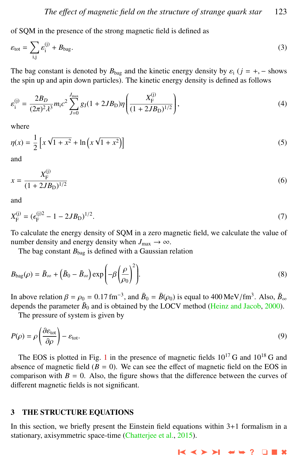<span id="page-2-0"></span>of SQM in the presence of the strong magnetic field is defined as

$$
\varepsilon_{\text{tot}} = \sum_{i,j} \varepsilon_i^{(j)} + B_{\text{bag}}.\tag{3}
$$

The bag constant is denoted by  $B_{\text{bag}}$  and the kinetic energy density by  $\varepsilon_i$  ( $j = +, -$  shows the spin up and apin down particles). The kinetic energy density is defined as follows

$$
\varepsilon_{\rm i}^{(\rm j)} = \frac{2B_D}{(2\pi)^2 \lambda^3} m_{\rm i} c^2 \sum_{J=0}^{J_{\rm max}} g_J (1 + 2JB_D) \eta \left( \frac{X_{\rm F}^{(\rm j)}}{(1 + 2JB_D)^{1/2}} \right),\tag{4}
$$

where

$$
\eta(x) = \frac{1}{2} \left[ x \sqrt{1 + x^2} + \ln \left( x \sqrt{1 + x^2} \right) \right]
$$
\n(5)

and

$$
x = \frac{X_{\rm F}^{(j)}}{(1 + 2JB_{\rm D})^{1/2}}\tag{6}
$$

and

$$
X_{\rm F}^{(j)} = (\epsilon_{\rm F}^{(j)2} - 1 - 2JB_{\rm D})^{1/2}.
$$
 (7)

To calculate the energy density of SQM in a zero magnetic field, we calculate the value of number density and energy density when  $J_{\text{max}} \to \infty$ .

The bag constant  $B_{\text{bag}}$  is defined with a Gaussian relation

$$
B_{\text{bag}}(\rho) = \bar{B}_{\infty} + \left(\bar{B}_0 - \bar{B}_{\infty}\right) \exp\left(-\beta \left(\frac{\rho}{\rho_0}\right)^2\right).
$$
\n(8)

In above relation  $\beta = \rho_0 = 0.17$  fm<sup>-3</sup>, and  $\bar{B}_0 = \bar{B}(\rho_0)$  is equal to 400 MeV/fm<sup>3</sup>. Also,  $\bar{B}_{\infty}$  denends the parameter  $\bar{B}_{\infty}$  and is obtained by the LOCV method (Heinz and Jacob, 2000) depends the parameter  $\bar{B}_0$  and is obtained by the LOCV method [\(Heinz and Jacob,](#page-11-0) [2000\)](#page-11-0).

The pressure of system is given by

$$
P(\rho) = \rho \left( \frac{\partial \varepsilon_{\text{tot}}}{\partial \rho} \right) - \varepsilon_{\text{tot}}.
$$
\n(9)

The EOS is plotted in Fig. [1](#page-3-0) in the presence of magnetic fields  $10^{17}$  G and  $10^{18}$  G and absence of magnetic field  $(B = 0)$ . We can see the effect of magnetic field on the EOS in comparison with  $B = 0$ . Also, the figure shows that the difference between the curves of different magnetic fields is not significant.

#### 3 THE STRUCTURE EQUATIONS

In this section, we briefly present the Einstein field equations within 3+1 formalism in a stationary, axisymmetric space-time [\(Chatterjee et al.,](#page-11-0) [2015\)](#page-11-0).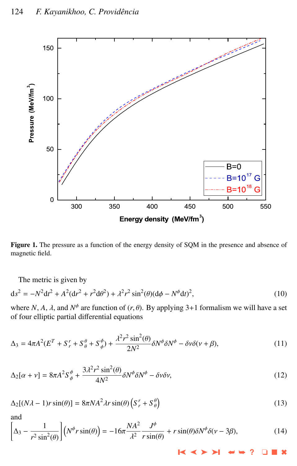<span id="page-3-0"></span>

Figure 1. The pressure as a function of the energy density of SQM in the presence and absence of magnetic field.

The metric is given by

$$
ds^{2} = -N^{2}dt^{2} + A^{2}(dr^{2} + r^{2}d\theta^{2}) + \lambda^{2}r^{2}\sin^{2}(\theta)(d\phi - N^{\phi}dt)^{2},
$$
\n(10)

where *N*, *A*, *λ*, and  $N^{\phi}$  are function of  $(r, \theta)$ . By applying 3+1 formalism we will have a set of four elliptic partial differential equations of four elliptic partial differential equations

$$
\Delta_3 = 4\pi A^2 (E^T + S_r^r + S_\theta^{\theta} + S_\phi^{\phi}) + \frac{\lambda^2 r^2 \sin^2(\theta)}{2N^2} \delta N^{\phi} \delta N^{\phi} - \delta \nu \delta (\nu + \beta), \tag{11}
$$

$$
\Delta_2[\alpha + \nu] = 8\pi A^2 S_{\phi}^{\phi} + \frac{3\lambda^2 r^2 \sin^2(\theta)}{4N^2} \delta N^{\phi} \delta N^{\phi} - \delta \nu \delta \nu,
$$
\n(12)

$$
\Delta_2[(N\lambda - 1)r\sin(\theta)] = 8\pi N A^2 \lambda r \sin(\theta) \left(S_r^r + S_\theta^\theta\right)
$$
\n(13)

and

$$
\left[\Delta_3 - \frac{1}{r^2 \sin^2(\theta)}\right] \left(N^{\phi} r \sin(\theta)\right) = -16\pi \frac{NA^2}{\lambda^2} \frac{J^{\phi}}{r \sin(\theta)} + r \sin(\theta) \delta N^{\phi} \delta(\nu - 3\beta),\tag{14}
$$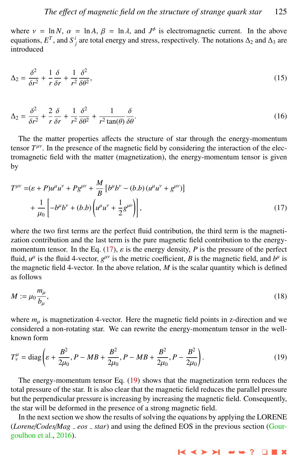<span id="page-4-0"></span>where  $v = \ln N$ ,  $\alpha = \ln A$ ,  $\beta = \ln \lambda$ , and  $J^{\phi}$  is electromagnetic current. In the above<br>equations  $F^T$  and  $S^i$  are total energy and stress, respectively. The notations  $\Delta_2$  and  $\Delta_2$  are equations,  $E^T$ , and  $S^i_j$  are total energy and stress, respectively. The notations  $\Delta_2$  and  $\Delta_3$  are introduced

$$
\Delta_2 = \frac{\delta^2}{\delta r^2} + \frac{1}{r} \frac{\delta}{\delta r} + \frac{1}{r^2} \frac{\delta^2}{\delta \theta^2},\tag{15}
$$

$$
\Delta_2 = \frac{\delta^2}{\delta r^2} + \frac{2}{r} \frac{\delta}{\delta r} + \frac{1}{r^2} \frac{\delta^2}{\delta \theta^2} + \frac{1}{r^2 \tan(\theta)} \frac{\delta}{\delta \theta}.
$$
\n(16)

The the matter properties affects the structure of star through the energy-momentum tensor  $T^{\mu\nu}$ . In the presence of the magnetic field by considering the interaction of the electromagnetic field with the matter (magnetization), the energy-momentum tensor is given by

$$
T^{\mu\nu} = (\varepsilon + P)u^{\mu}u^{\nu} + P g^{\mu\nu} + \frac{M}{B} \left[ b^{\mu}b^{\nu} - (b.b) (u^{\mu}u^{\nu} + g^{\mu\nu}) \right] + \frac{1}{\mu_0} \left[ -b^{\mu}b^{\nu} + (b.b) \left( u^{\mu}u^{\nu} + \frac{1}{2}g^{\mu\nu} \right) \right],
$$
(17)

where the two first terms are the perfect fluid contribution, the third term is the magnetization contribution and the last term is the pure magnetic field contribution to the energymomentum tensor. In the Eq. (17),  $\varepsilon$  is the energy density, P is the pressure of the perfect fluid,  $u^{\mu}$  is the fluid 4-vector,  $g^{\mu\nu}$  is the metric coefficient, *B* is the magnetic field, and  $b^{\mu}$  is the magnetic field 4-vector. In the above relation,  $M$  is the scalar quantity which is defined as follows

$$
M := \mu_0 \frac{m_\mu}{b_\mu},\tag{18}
$$

where  $m<sub>u</sub>$  is magnetization 4-vector. Here the magnetic field points in z-direction and we considered a non-rotating star. We can rewrite the energy-momentum tensor in the wellknown form

$$
T_{\nu}^{\mu} = \text{diag}\left(\varepsilon + \frac{B^2}{2\mu_0}, P - MB + \frac{B^2}{2\mu_0}, P - MB + \frac{B^2}{2\mu_0}, P - \frac{B^2}{2\mu_0}\right).
$$
 (19)

The energy-momentum tensor Eq. (19) shows that the magnetization term reduces the total pressure of the star. It is also clear that the magnetic field reduces the parallel pressure but the perpendicular pressure is increasing by increasing the magnetic field. Consequently, the star will be deformed in the presence of a strong magnetic field.

In the next section we show the results of solving the equations by applying the LORENE (*Lorene*/*Codes*/*Mag eos star*) and using the defined EOS in the previous section [\(Gour](#page-11-0)[goulhon et al.,](#page-11-0) [2016\)](#page-11-0).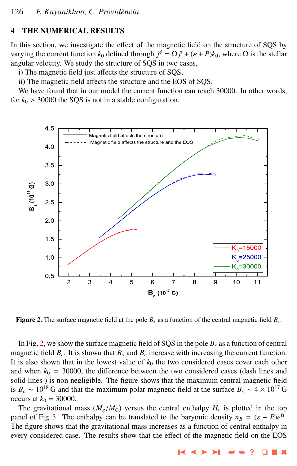## <span id="page-5-0"></span>4 THE NUMERICAL RESULTS

In this section, we investigate the effect of the magnetic field on the structure of SQS by varying the current function  $k_0$  defined through  $j^{\phi} = \Omega j^t + (\varepsilon + P)k_0$ , where  $\Omega$  is the stellar angular velocity. We study the structure of SOS in two cases angular velocity. We study the structure of SQS in two cases,

i) The magnetic field just affects the structure of SQS,

ii) The magnetic field affects the structure and the EOS of SQS.

We have found that in our model the current function can reach 30000. In other words, for  $k_0 > 30000$  the SQS is not in a stable configuration.



Figure 2. The surface magnetic field at the pole *B<sup>s</sup>* as a function of the central magnetic field *B<sup>c</sup>* .

In Fig. 2, we show the surface magnetic field of SQS in the pole  $B_s$  as a function of central magnetic field  $B_c$ . It is shown that  $B_s$  and  $B_c$  increase with increasing the current function. It is also shown that in the lowest value of  $k_0$  the two considered cases cover each other and when  $k_0 = 30000$ , the difference between the two considered cases (dash lines and solid lines ) is non negligible. The figure shows that the maximum central magnetic field is  $B_c \sim 10^{18}$  G and that the maximum polar magnetic field at the surface  $B_s \sim 4 \times 10^{17}$  G occurs at  $k_0 = 30000$ .

The gravitational mass  $(M_g/M_\odot)$  versus the central enthalpy  $H_c$  is plotted in the top panel of Fig. [3.](#page-7-0) The enthalpy can be translated to the baryonic density  $n_B = (\varepsilon + P)e^H$ .<br>The figure shows that the gravitational mass increases as a function of central enthalpy in The figure shows that the gravitational mass increases as a function of central enthalpy in every considered case. The results show that the effect of the magnetic field on the EOS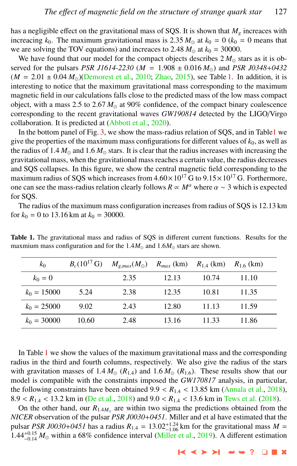has a negligible effect on the gravitational mass of SQS. It is shown that *M<sup>g</sup>* increaces with increacing  $k_0$ . The maximum gravitational mass is 2.35  $M_{\odot}$  at  $k_0 = 0$  ( $k_0 = 0$  means that we are solving the TOV equations) and increaces to 2.48  $M_{\odot}$  at  $k_0 = 30000$ .

We have found that our model for the compact objects describes  $2 M_{\odot}$  stars as it is observed for the pulsars *PSR J1614-2230* ( $M = 1.908 \pm 0.016 M_{\odot}$ ) and *PSR J0348+0432*  $(M = 2.01 \pm 0.04 M_{\odot})$ [\(Demorest et al.,](#page-11-0) [2010;](#page-11-0) [Zhao,](#page-11-0) [2015\)](#page-11-0), see Table 1. In addition, it is interesting to notice that the maximum gravitational mass corresponding to the maximum magnetic field in our calculations falls close to the predicted mass of the low mass compact object, with a mass 2.5 to 2.67  $M_{\odot}$  at 90% confidence, of the compact binary coalescence corresponding to the recent gravitational waves *GW190814* detected by the LIGO/Virgo collaboration. It is predicted at [\(Abbott et al.,](#page-10-0) [2020\)](#page-10-0).

In the bottom panel of Fig. [3,](#page-7-0) we show the mass-radius relation of SQS, and in Table1 we give the properties of the maximum mass configurations for different values of  $k_0$ , as well as the radius of  $1.4 M_{\odot}$  and  $1.6 M_{\odot}$  stars. It is clear that the radius increases with increasing the gravitational mass, when the gravitational mass reaches a certain value, the radius decreases and SQS collapses. In this figure, we show the central magnetic field corresponding to the maximum radius of SQS which increases from  $4.60 \times 10^{17}$  G to  $9.15 \times 10^{17}$  G. Forthermore, one can see the mass-radius relation clearly follows  $R \propto M^{\alpha}$  where  $\alpha \sim 3$  which is expected for SQS.

The radius of the maximum mass configuration increases from radius of SQS is 12.13 km for  $k_0 = 0$  to 13.16 km at  $k_0 = 30000$ .

| $k_0$         | $B_c(10^{17} \text{ G})$ | $M_{g,max}(M_{\odot})$ $R_{max}$ (km) $R_{1.4}$ (km) $R_{1.6}$ (km) |       |       |       |
|---------------|--------------------------|---------------------------------------------------------------------|-------|-------|-------|
| $k_0 = 0$     |                          | 2.35                                                                | 12.13 | 10.74 | 11.10 |
| $k_0 = 15000$ | 5.24                     | 2.38                                                                | 12.35 | 10.81 | 11.35 |
| $k_0 = 25000$ | 9.02                     | 2.43                                                                | 12.80 | 11.13 | 11.59 |
| $k_0 = 30000$ | 10.60                    | 2.48                                                                | 13.16 | 11 33 | 11.86 |

Table 1. The gravitational mass and radius of SQS in different current functions. Results for the maxmium mass configuration and for the  $1.4M_{\odot}$  and  $1.6M_{\odot}$  stars are shown.

In Table 1 we show the values of the maximum gravitational mass and the corresponding radius in the third and fourth columns, respectively. We also give the radius of the stars with gravitation masses of 1.4  $M_{\odot}$  ( $R_{1,4}$ ) and 1.6  $M_{\odot}$  ( $R_{1,6}$ ). These results show that our model is compatible with the constraints imposed the *GW170817* analysis, in particular, the following constraints have been obtained  $9.9 < R_{1.4} < 13.85$  km [\(Annala et al.,](#page-10-0) [2018\)](#page-10-0), 8.9  $<$   $R_{1.4}$   $<$  13.2 km in [\(De et al.,](#page-11-0) [2018\)](#page-11-0) and 9.0  $<$   $R_{1.4}$   $<$  13.6 km in [Tews et al.](#page-11-0) [\(2018\)](#page-11-0).

On the other hand, our  $R_{1.4M_{\odot}}$  are within two sigma the predictions obtained from the *CEB* observation of the pulsar *DSB 10030 i* 0451. Miller and at al have astimated that the *NICER* observation of the pulsar *PSR J0030*+*0451*. Miller and et al have estimated that the pulsar *PSR J0030+0451* has a radius  $R_{1.4} = 13.02^{+1.24}_{-1.06}$  km for the gravitational mass  $M = 1.44^{+0.15}$   $M_{\odot}$  within a 68% confidence interval (Miller et al. 2019). A different estimation  $1.44_{-0.14}^{+0.15} M_{\odot}$  within a 68% confidence interval [\(Miller et al.,](#page-11-0) [2019\)](#page-11-0). A different estimation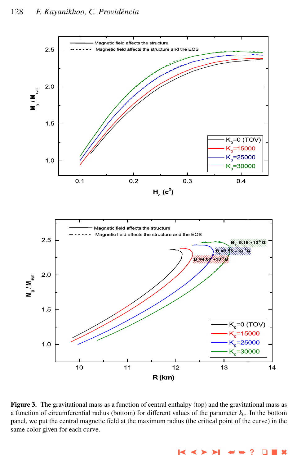<span id="page-7-0"></span>

Figure 3. The gravitational mass as a function of central enthalpy (top) and the gravitational mass as a function of circumferential radius (bottom) for different values of the parameter  $k_0$ . In the bottom panel, we put the central magnetic field at the maximum radius (the critical point of the curve) in the same color given for each curve.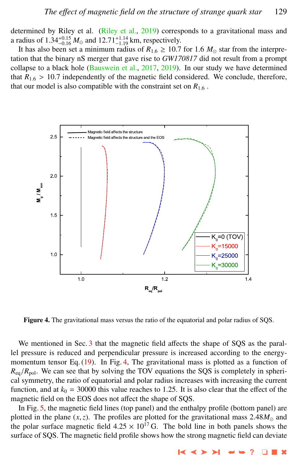determined by Riley et al. [\(Riley et al.,](#page-11-0) [2019\)](#page-11-0) corresponds to a gravitational mass and a radius of  $1.34_{-0.15}^{+0.15} M_{\odot}$  and  $12.71_{-1.19}^{+1.14}$  km, respectively.<br>It has also been set a minimum radius of  $R_{\odot} > 10.7$ 

It has also been set a minimum radius of  $R_{1.6} \ge 10.7$  for 1.6  $M_{\odot}$  star from the interpretation that the binary nS merger that gave rise to *GW170817* did not result from a prompt collapse to a black hole [\(Bauswein et al.,](#page-11-0) [2017,](#page-11-0) [2019\)](#page-11-0). In our study we have determined that  $R_{1.6} > 10.7$  independently of the magnetic field considered. We conclude, therefore, that our model is also compatible with the constraint set on  $R_{1.6}$ .



Figure 4. The gravitational mass versus the ratio of the equatorial and polar radius of SQS.

We mentioned in Sec. [3](#page-2-0) that the magnetic field affects the shape of SQS as the parallel pressure is reduced and perpendicular pressure is increased according to the energy-momentum tensor Eq. [\(19\)](#page-4-0). In Fig. 4, The gravitational mass is plotted as a function of  $R_{eq}/R_{pol}$ . We can see that by solving the TOV equations the SQS is completely in spherical symmetry, the ratio of equatorial and polar radius increases with increasing the current function, and at  $k_0 = 30000$  this value reaches to 1.25. It is also clear that the effect of the magnetic field on the EOS does not affect the shape of SQS.

In Fig. [5,](#page-9-0) the magnetic field lines (top panel) and the enthalpy profile (bottom panel) are plotted in the plane  $(x, z)$ . The profiles are plotted for the gravitational mass  $2.48M_{\odot}$  and the polar surface magnetic field  $4.25 \times 10^{17}$  G. The bold line in both panels shows the surface of SQS. The magnetic field profile shows how the strong magnetic field can deviate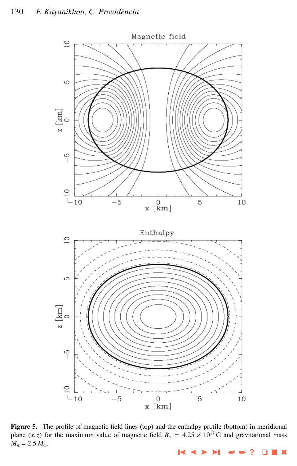## <span id="page-9-0"></span>130 F. Kayanikhoo, C. Providência



Figure 5. The profile of magnetic field lines (top) and the enthalpy profile (bottom) in meridional plane  $(x, z)$  for the maximum value of magnetic field  $B_s = 4.25 \times 10^{17}$  G and gravitational mass  $M_g = 2.5 M_{\odot}$ .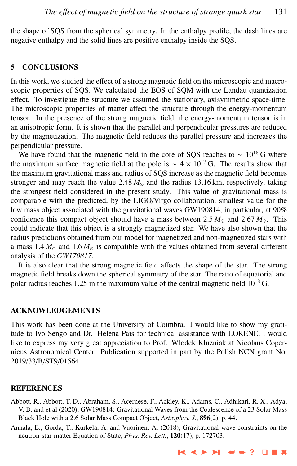<span id="page-10-0"></span>the shape of SQS from the spherical symmetry. In the enthalpy profile, the dash lines are negative enthalpy and the solid lines are positive enthalpy inside the SQS.

## 5 CONCLUSIONS

In this work, we studied the effect of a strong magnetic field on the microscopic and macroscopic properties of SQS. We calculated the EOS of SQM with the Landau quantization effect. To investigate the structure we assumed the stationary, axisymmetric space-time. The microscopic properties of matter affect the structure through the energy-momentum tensor. In the presence of the strong magnetic field, the energy-momentum tensor is in an anisotropic form. It is shown that the parallel and perpendicular pressures are reduced by the magnetization. The magnetic field reduces the parallel pressure and increases the perpendicular pressure.

We have found that the magnetic field in the core of SQS reaches to  $\sim 10^{18}$  G where the maximum surface magnetic field at the pole is ~  $4 \times 10^{17}$  G. The results show that the maximum gravitational mass and radius of SQS increase as the magnetic field becomes stronger and may reach the value 2.48  $M_{\odot}$  and the radius 13.16 km, respectively, taking the strongest field considered in the present study. This value of gravitational mass is comparable with the predicted, by the LIGO/Virgo collaboration, smallest value for the low mass object associated with the gravitational waves GW190814, in particular, at 90% confidence this compact object should have a mass between 2.5  $M_{\odot}$  and 2.67  $M_{\odot}$ . This could indicate that this object is a strongly magnetized star. We have also shown that the radius predictions obtained from our model for magnetized and non-magnetized stars with a mass  $1.4 M_{\odot}$  and  $1.6 M_{\odot}$  is compatible with the values obtained from several different analysis of the *GW170817*.

It is also clear that the strong magnetic field affects the shape of the star. The strong magnetic field breaks down the spherical symmetry of the star. The ratio of equatorial and polar radius reaches 1.25 in the maximum value of the central magnetic field  $10^{18}$  G.

### ACKNOWLEDGEMENTS

This work has been done at the University of Coimbra. I would like to show my gratitude to Ivo Sengo and Dr. Helena Pais for technical assistance with LORENE. I would like to express my very great appreciation to Prof. Wlodek Kluzniak at Nicolaus Copernicus Astronomical Center. Publication supported in part by the Polish NCN grant No. 2019/33/B/ST9/01564.

#### REFERENCES

Abbott, R., Abbott, T. D., Abraham, S., Acernese, F., Ackley, K., Adams, C., Adhikari, R. X., Adya, V. B. and et al (2020), GW190814: Gravitational Waves from the Coalescence of a 23 Solar Mass Black Hole with a 2.6 Solar Mass Compact Object, *Astrophys. J.*, 896(2), p. 44.

Annala, E., Gorda, T., Kurkela, A. and Vuorinen, A. (2018), Gravitational-wave constraints on the neutron-star-matter Equation of State, *Phys. Rev. Lett.*, 120(17), p. 172703.